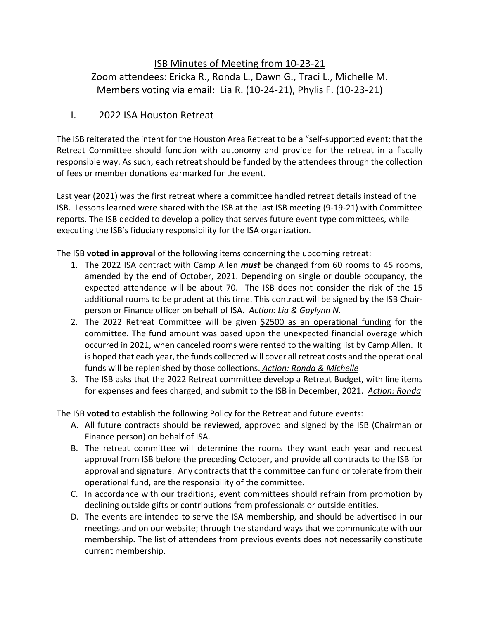ISB Minutes of Meeting from 10-23-21 Zoom attendees: Ericka R., Ronda L., Dawn G., Traci L., Michelle M. Members voting via email: Lia R. (10-24-21), Phylis F. (10-23-21)

## I. 2022 ISA Houston Retreat

The ISB reiterated the intent for the Houston Area Retreat to be a "self-supported event; that the Retreat Committee should function with autonomy and provide for the retreat in a fiscally responsible way. As such, each retreat should be funded by the attendees through the collection of fees or member donations earmarked for the event.

Last year (2021) was the first retreat where a committee handled retreat details instead of the ISB. Lessons learned were shared with the ISB at the last ISB meeting (9-19-21) with Committee reports. The ISB decided to develop a policy that serves future event type committees, while executing the ISB's fiduciary responsibility for the ISA organization.

The ISB **voted in approval** of the following items concerning the upcoming retreat:

- 1. The 2022 ISA contract with Camp Allen *must* be changed from 60 rooms to 45 rooms, amended by the end of October, 2021. Depending on single or double occupancy, the expected attendance will be about 70. The ISB does not consider the risk of the 15 additional rooms to be prudent at this time. This contract will be signed by the ISB Chairperson or Finance officer on behalf of ISA. *Action: Lia & Gaylynn N.*
- 2. The 2022 Retreat Committee will be given \$2500 as an operational funding for the committee. The fund amount was based upon the unexpected financial overage which occurred in 2021, when canceled rooms were rented to the waiting list by Camp Allen. It is hoped that each year, the funds collected will cover all retreat costs and the operational funds will be replenished by those collections. *Action: Ronda & Michelle*
- 3. The ISB asks that the 2022 Retreat committee develop a Retreat Budget, with line items for expenses and fees charged, and submit to the ISB in December, 2021. *Action: Ronda*

The ISB **voted** to establish the following Policy for the Retreat and future events:

- A. All future contracts should be reviewed, approved and signed by the ISB (Chairman or Finance person) on behalf of ISA.
- B. The retreat committee will determine the rooms they want each year and request approval from ISB before the preceding October, and provide all contracts to the ISB for approval and signature. Any contracts that the committee can fund or tolerate from their operational fund, are the responsibility of the committee.
- C. In accordance with our traditions, event committees should refrain from promotion by declining outside gifts or contributions from professionals or outside entities.
- D. The events are intended to serve the ISA membership, and should be advertised in our meetings and on our website; through the standard ways that we communicate with our membership. The list of attendees from previous events does not necessarily constitute current membership.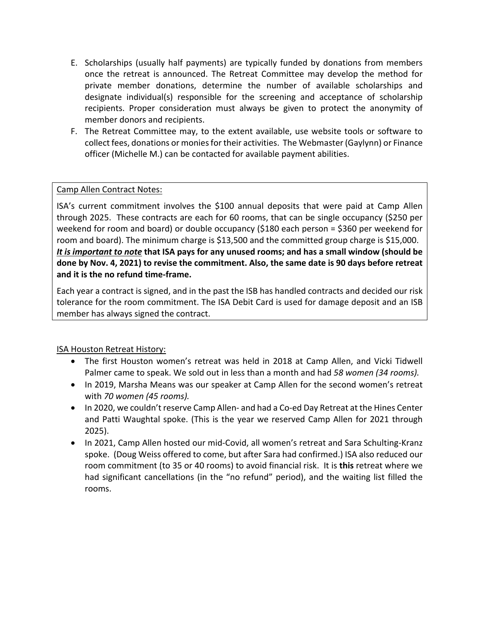- E. Scholarships (usually half payments) are typically funded by donations from members once the retreat is announced. The Retreat Committee may develop the method for private member donations, determine the number of available scholarships and designate individual(s) responsible for the screening and acceptance of scholarship recipients. Proper consideration must always be given to protect the anonymity of member donors and recipients.
- F. The Retreat Committee may, to the extent available, use website tools or software to collect fees, donations or monies for their activities. The Webmaster (Gaylynn) or Finance officer (Michelle M.) can be contacted for available payment abilities.

#### Camp Allen Contract Notes:

ISA's current commitment involves the \$100 annual deposits that were paid at Camp Allen through 2025. These contracts are each for 60 rooms, that can be single occupancy (\$250 per weekend for room and board) or double occupancy (\$180 each person = \$360 per weekend for room and board). The minimum charge is \$13,500 and the committed group charge is \$15,000. *It is important to note* **that ISA pays for any unused rooms; and has a small window (should be done by Nov. 4, 2021) to revise the commitment. Also, the same date is 90 days before retreat and it is the no refund time-frame.** 

Each year a contract is signed, and in the past the ISB has handled contracts and decided our risk tolerance for the room commitment. The ISA Debit Card is used for damage deposit and an ISB member has always signed the contract.

ISA Houston Retreat History:

- The first Houston women's retreat was held in 2018 at Camp Allen, and Vicki Tidwell Palmer came to speak. We sold out in less than a month and had *58 women (34 rooms).*
- In 2019, Marsha Means was our speaker at Camp Allen for the second women's retreat with *70 women (45 rooms).*
- In 2020, we couldn't reserve Camp Allen- and had a Co-ed Day Retreat at the Hines Center and Patti Waughtal spoke. (This is the year we reserved Camp Allen for 2021 through 2025).
- In 2021, Camp Allen hosted our mid-Covid, all women's retreat and Sara Schulting-Kranz spoke. (Doug Weiss offered to come, but after Sara had confirmed.) ISA also reduced our room commitment (to 35 or 40 rooms) to avoid financial risk. It is **this** retreat where we had significant cancellations (in the "no refund" period), and the waiting list filled the rooms.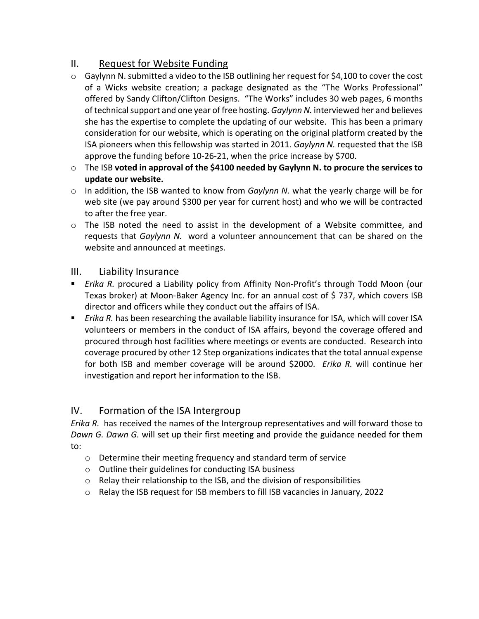# II. Request for Website Funding

- $\circ$  Gaylynn N. submitted a video to the ISB outlining her request for \$4,100 to cover the cost of a Wicks website creation; a package designated as the "The Works Professional" offered by Sandy Clifton/Clifton Designs. "The Works" includes 30 web pages, 6 months of technical support and one year of free hosting. *Gaylynn N.* interviewed her and believes she has the expertise to complete the updating of our website. This has been a primary consideration for our website, which is operating on the original platform created by the ISA pioneers when this fellowship was started in 2011. *Gaylynn N.* requested that the ISB approve the funding before 10-26-21, when the price increase by \$700.
- o The ISB **voted in approval of the \$4100 needed by Gaylynn N. to procure the services to update our website.**
- o In addition, the ISB wanted to know from *Gaylynn N.* what the yearly charge will be for web site (we pay around \$300 per year for current host) and who we will be contracted to after the free year.
- $\circ$  The ISB noted the need to assist in the development of a Website committee, and requests that *Gaylynn N.* word a volunteer announcement that can be shared on the website and announced at meetings.

### III. Liability Insurance

- *Erika R.* procured a Liability policy from Affinity Non-Profit's through Todd Moon (our Texas broker) at Moon-Baker Agency Inc. for an annual cost of \$ 737, which covers ISB director and officers while they conduct out the affairs of ISA.
- *Erika R.* has been researching the available liability insurance for ISA, which will cover ISA volunteers or members in the conduct of ISA affairs, beyond the coverage offered and procured through host facilities where meetings or events are conducted. Research into coverage procured by other 12 Step organizations indicates that the total annual expense for both ISB and member coverage will be around \$2000. *Erika R.* will continue her investigation and report her information to the ISB.

### IV. Formation of the ISA Intergroup

*Erika R.* has received the names of the Intergroup representatives and will forward those to *Dawn G. Dawn G.* will set up their first meeting and provide the guidance needed for them to:

- o Determine their meeting frequency and standard term of service
- o Outline their guidelines for conducting ISA business
- $\circ$  Relay their relationship to the ISB, and the division of responsibilities
- o Relay the ISB request for ISB members to fill ISB vacancies in January, 2022